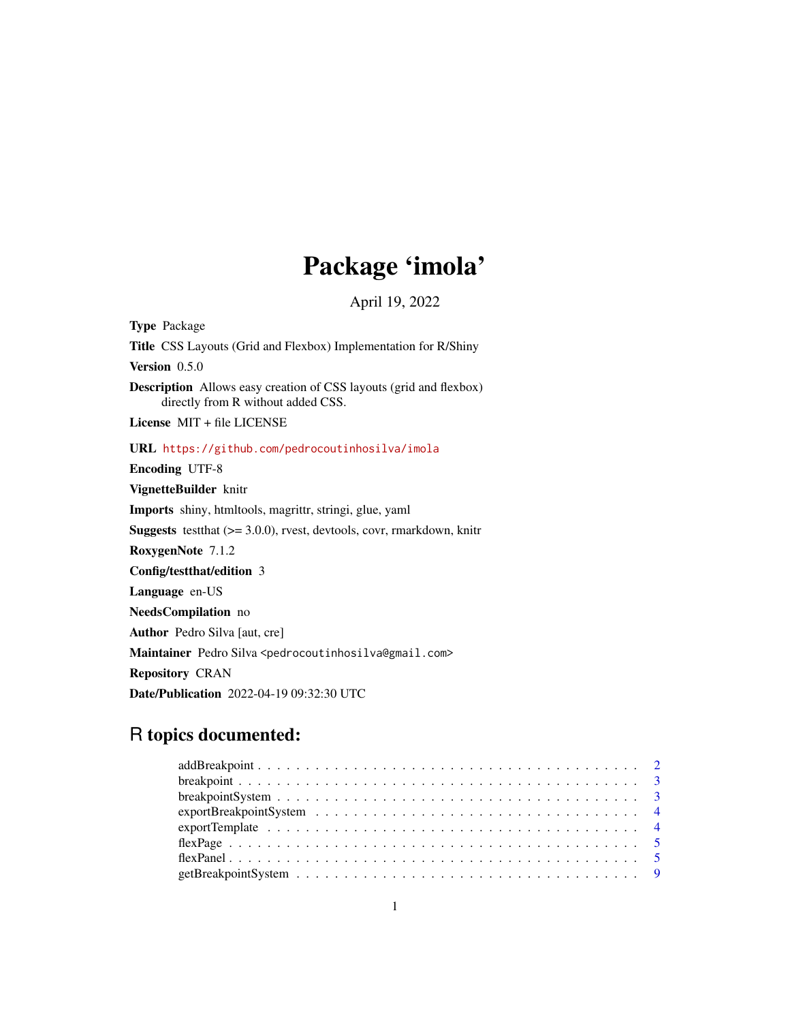# Package 'imola'

April 19, 2022

<span id="page-0-0"></span>Type Package Title CSS Layouts (Grid and Flexbox) Implementation for R/Shiny Version 0.5.0 Description Allows easy creation of CSS layouts (grid and flexbox) directly from R without added CSS. License MIT + file LICENSE URL <https://github.com/pedrocoutinhosilva/imola> Encoding UTF-8 VignetteBuilder knitr Imports shiny, htmltools, magrittr, stringi, glue, yaml **Suggests** test that  $(>= 3.0.0)$ , rvest, devtools, covr, rmarkdown, knitr RoxygenNote 7.1.2 Config/testthat/edition 3 Language en-US NeedsCompilation no Author Pedro Silva [aut, cre] Maintainer Pedro Silva <pedrocoutinhosilva@gmail.com> Repository CRAN Date/Publication 2022-04-19 09:32:30 UTC

# R topics documented:

| breakpoint System $\ldots \ldots \ldots \ldots \ldots \ldots \ldots \ldots \ldots \ldots \ldots \ldots \ldots$ |  |
|----------------------------------------------------------------------------------------------------------------|--|
|                                                                                                                |  |
|                                                                                                                |  |
|                                                                                                                |  |
|                                                                                                                |  |
|                                                                                                                |  |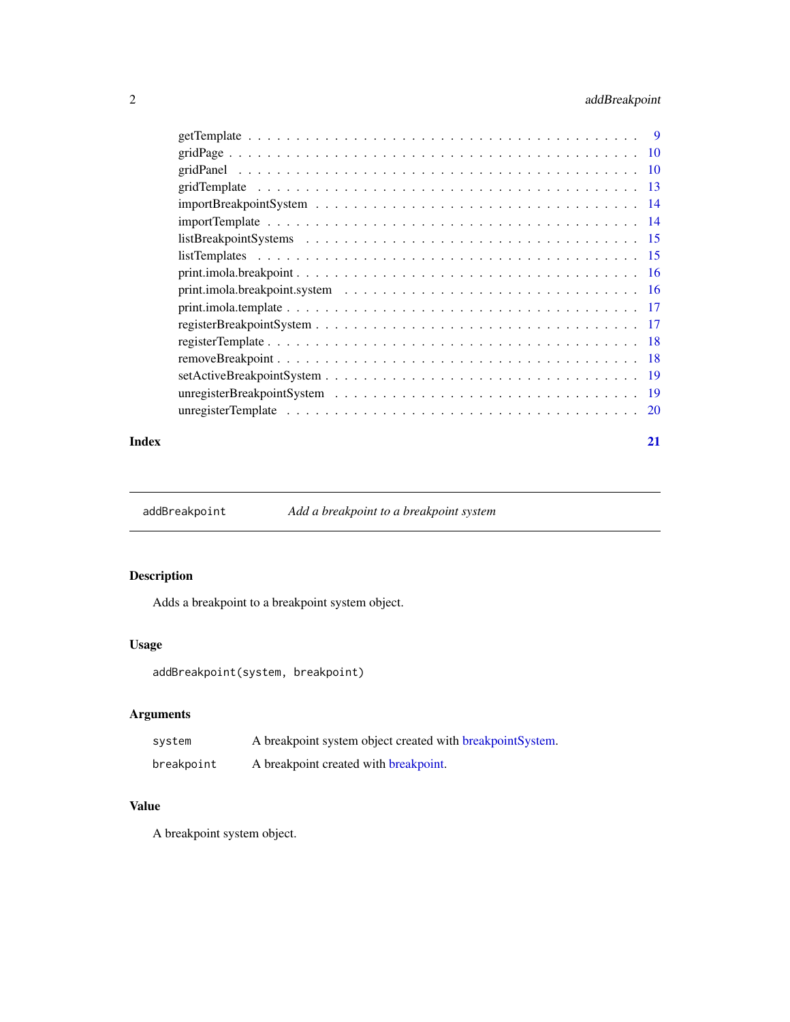# <span id="page-1-0"></span>2 addBreakpoint

| unregisterTemplate $\ldots \ldots \ldots \ldots \ldots \ldots \ldots \ldots \ldots \ldots \ldots \ldots \ldots$ | <sup>20</sup> |
|-----------------------------------------------------------------------------------------------------------------|---------------|
|                                                                                                                 |               |

#### **Index** [21](#page-20-0)

addBreakpoint *Add a breakpoint to a breakpoint system*

# Description

Adds a breakpoint to a breakpoint system object.

#### Usage

addBreakpoint(system, breakpoint)

# Arguments

| system     | A breakpoint system object created with breakpoint System. |
|------------|------------------------------------------------------------|
| breakpoint | A breakpoint created with breakpoint.                      |

#### Value

A breakpoint system object.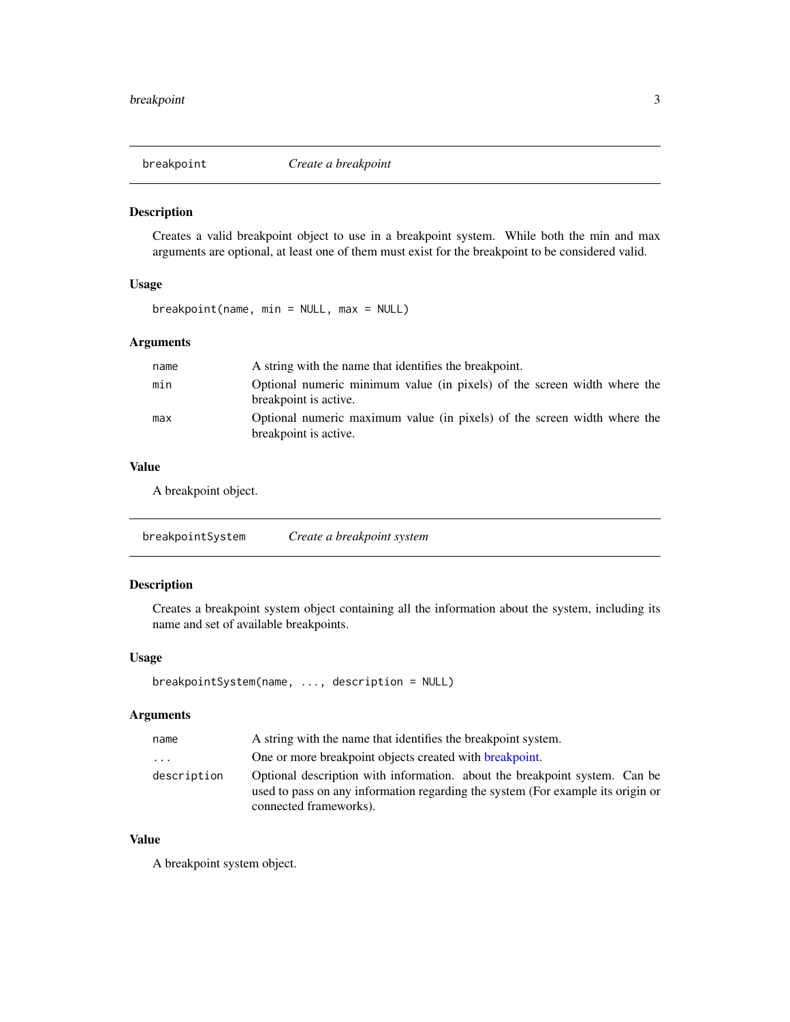<span id="page-2-2"></span><span id="page-2-0"></span>

#### Description

Creates a valid breakpoint object to use in a breakpoint system. While both the min and max arguments are optional, at least one of them must exist for the breakpoint to be considered valid.

# Usage

breakpoint(name, min = NULL, max = NULL)

#### Arguments

| name | A string with the name that identifies the breakpoint.                                            |
|------|---------------------------------------------------------------------------------------------------|
| min  | Optional numeric minimum value (in pixels) of the screen width where the<br>breakpoint is active. |
| max  | Optional numeric maximum value (in pixels) of the screen width where the<br>breakpoint is active. |

#### Value

A breakpoint object.

<span id="page-2-1"></span>

| Create a breakpoint system |
|----------------------------|
|----------------------------|

### Description

Creates a breakpoint system object containing all the information about the system, including its name and set of available breakpoints.

#### Usage

```
breakpointSystem(name, ..., description = NULL)
```
#### Arguments

| name        | A string with the name that identifies the breakpoint system.                                                                                                                           |
|-------------|-----------------------------------------------------------------------------------------------------------------------------------------------------------------------------------------|
| .           | One or more breakpoint objects created with <b>breakpoint</b> .                                                                                                                         |
| description | Optional description with information. about the breakpoint system. Can be<br>used to pass on any information regarding the system (For example its origin or<br>connected frameworks). |

#### Value

A breakpoint system object.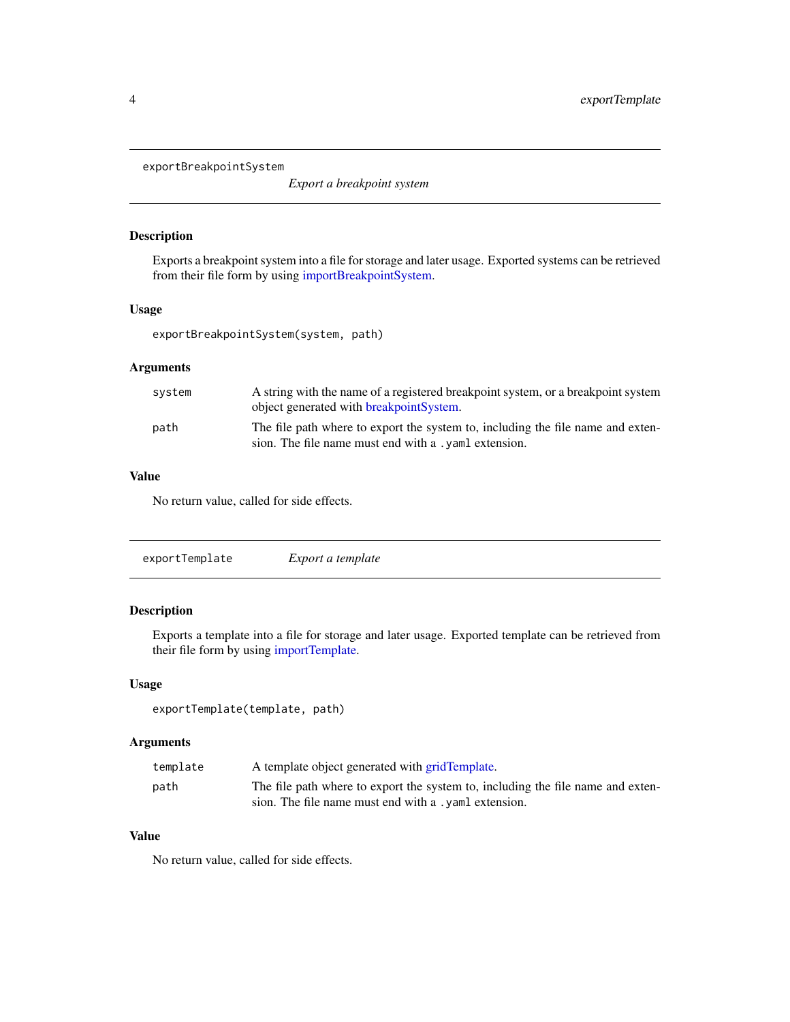<span id="page-3-1"></span><span id="page-3-0"></span>exportBreakpointSystem

*Export a breakpoint system*

#### Description

Exports a breakpoint system into a file for storage and later usage. Exported systems can be retrieved from their file form by using [importBreakpointSystem.](#page-13-1)

#### Usage

exportBreakpointSystem(system, path)

#### Arguments

| system | A string with the name of a registered breakpoint system, or a breakpoint system<br>object generated with breakpointSystem.              |
|--------|------------------------------------------------------------------------------------------------------------------------------------------|
| path   | The file path where to export the system to, including the file name and exten-<br>sion. The file name must end with a , yaml extension. |

# Value

No return value, called for side effects.

<span id="page-3-2"></span>

| Export a template |  |
|-------------------|--|
|                   |  |

# Description

Exports a template into a file for storage and later usage. Exported template can be retrieved from their file form by using [importTemplate.](#page-13-2)

#### Usage

exportTemplate(template, path)

#### Arguments

| template | A template object generated with gridTemplate.                                  |
|----------|---------------------------------------------------------------------------------|
| path     | The file path where to export the system to, including the file name and exten- |
|          | sion. The file name must end with a , yaml extension.                           |

#### Value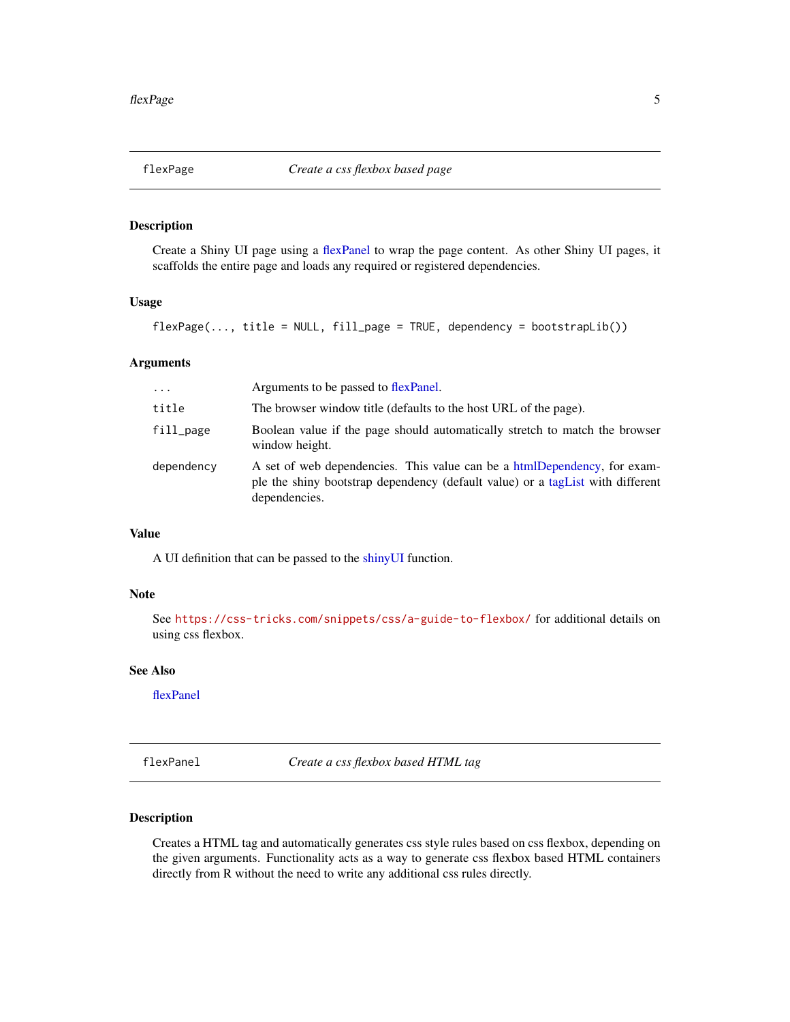<span id="page-4-2"></span><span id="page-4-0"></span>

# Description

Create a Shiny UI page using a [flexPanel](#page-4-1) to wrap the page content. As other Shiny UI pages, it scaffolds the entire page and loads any required or registered dependencies.

#### Usage

flexPage(..., title = NULL, fill\_page = TRUE, dependency = bootstrapLib())

## Arguments

| $\cdots$     | Arguments to be passed to flexPanel.                                                                                                                                         |
|--------------|------------------------------------------------------------------------------------------------------------------------------------------------------------------------------|
| title        | The browser window title (defaults to the host URL of the page).                                                                                                             |
| $fill\_page$ | Boolean value if the page should automatically stretch to match the browser<br>window height.                                                                                |
| dependency   | A set of web dependencies. This value can be a htmlDependency, for exam-<br>ple the shiny bootstrap dependency (default value) or a tag List with different<br>dependencies. |

# Value

A UI definition that can be passed to the [shinyUI](#page-0-0) function.

#### Note

See <https://css-tricks.com/snippets/css/a-guide-to-flexbox/> for additional details on using css flexbox.

#### See Also

[flexPanel](#page-4-1)

<span id="page-4-1"></span>flexPanel *Create a css flexbox based HTML tag*

#### Description

Creates a HTML tag and automatically generates css style rules based on css flexbox, depending on the given arguments. Functionality acts as a way to generate css flexbox based HTML containers directly from R without the need to write any additional css rules directly.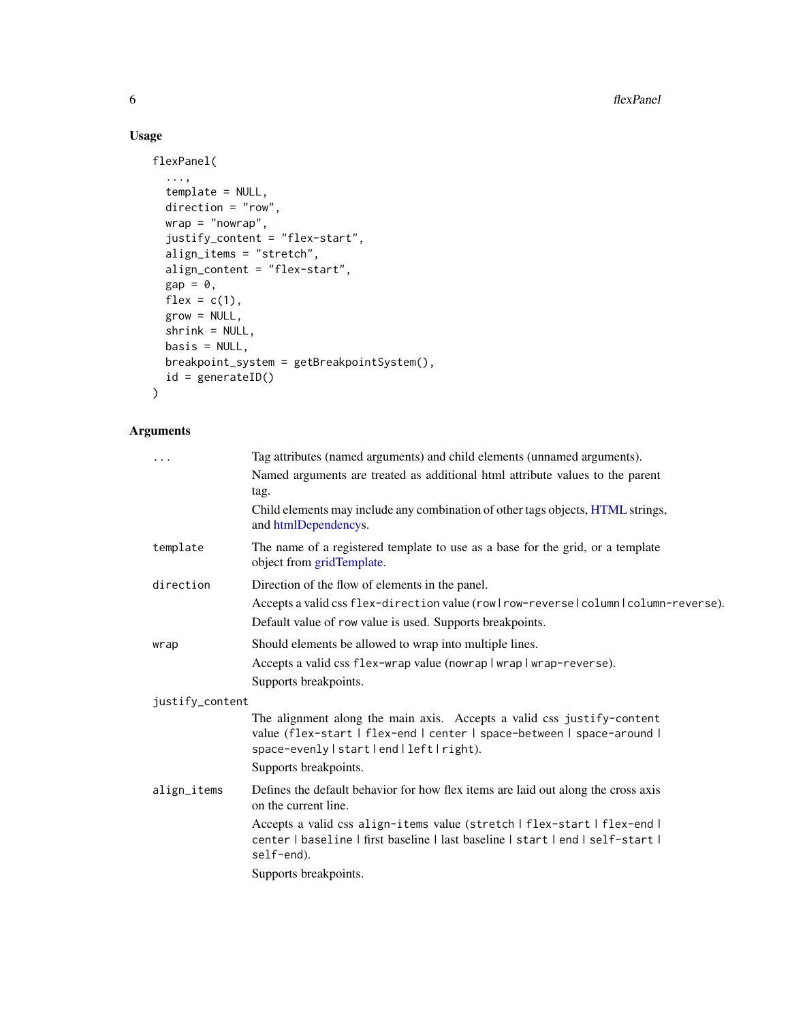# Usage

```
flexPanel(
  ...,
  template = NULL,
  direction = "row",wrap = "nowrap",justify_content = "flex-start",
  align_items = "stretch",
  align_content = "flex-start",
  gap = 0,
  flex = c(1),
  grow = NULL,shrink = NULL,
  basis = NULL,breakpoint_system = getBreakpointSystem(),
  id = generateID()
\mathcal{L}
```
# Arguments

| $\cdots$        | Tag attributes (named arguments) and child elements (unnamed arguments).                                                                                                                        |
|-----------------|-------------------------------------------------------------------------------------------------------------------------------------------------------------------------------------------------|
|                 | Named arguments are treated as additional html attribute values to the parent<br>tag.                                                                                                           |
|                 | Child elements may include any combination of other tags objects, HTML strings,<br>and htmlDependencys.                                                                                         |
| template        | The name of a registered template to use as a base for the grid, or a template<br>object from gridTemplate.                                                                                     |
| direction       | Direction of the flow of elements in the panel.                                                                                                                                                 |
|                 | Accepts a valid css flex-direction value (rowlrow-reversel column l column-reverse).<br>Default value of row value is used. Supports breakpoints.                                               |
| wrap            | Should elements be allowed to wrap into multiple lines.                                                                                                                                         |
|                 | Accepts a valid css flex-wrap value (nowrap   wrap   wrap-reverse).                                                                                                                             |
|                 | Supports breakpoints.                                                                                                                                                                           |
| justify_content |                                                                                                                                                                                                 |
|                 | The alignment along the main axis. Accepts a valid css justify-content<br>value (flex-start   flex-end   center   space-between   space-around  <br>space-evenly   start   end   left   right). |
|                 | Supports breakpoints.                                                                                                                                                                           |
| align_items     | Defines the default behavior for how flex items are laid out along the cross axis<br>on the current line.                                                                                       |
|                 | Accepts a valid css align-items value (stretch   flex-start   flex-end  <br>center   baseline   first baseline   last baseline   start   end   self-start  <br>self-end).                       |
|                 | Supports breakpoints.                                                                                                                                                                           |
|                 |                                                                                                                                                                                                 |

<span id="page-5-0"></span>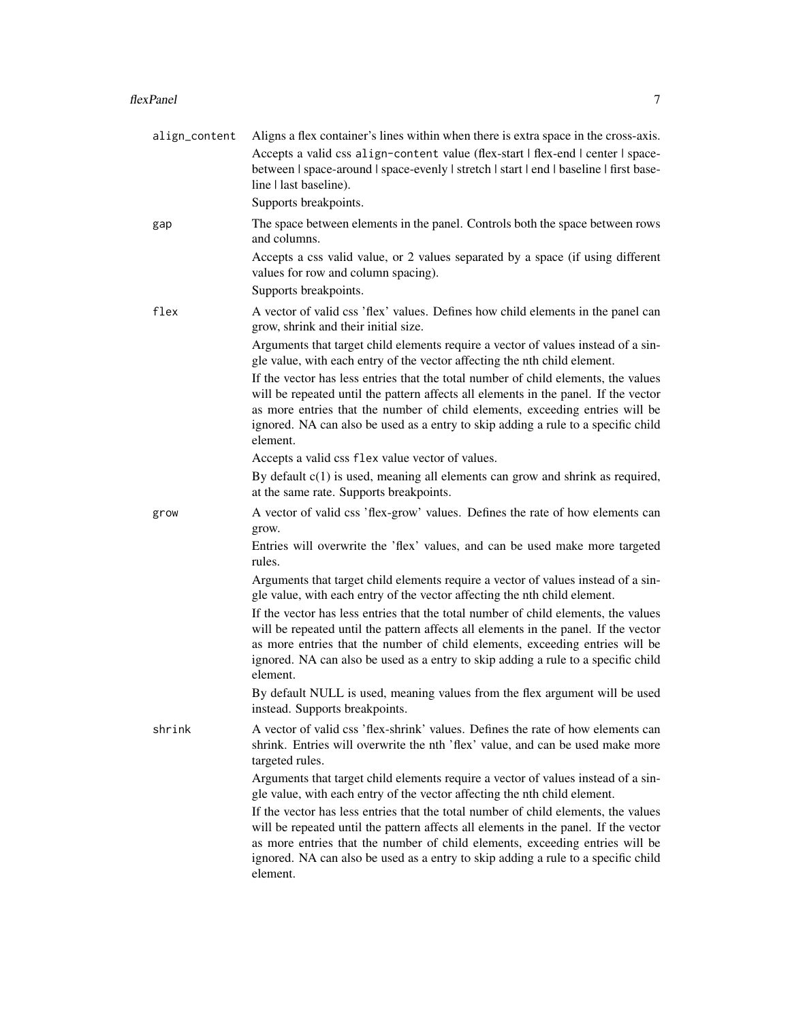| align_content | Aligns a flex container's lines within when there is extra space in the cross-axis.                                                                                                                                                                                                                                                                        |
|---------------|------------------------------------------------------------------------------------------------------------------------------------------------------------------------------------------------------------------------------------------------------------------------------------------------------------------------------------------------------------|
|               | Accepts a valid css align-content value (flex-start   flex-end   center   space-<br>between   space-around   space-evenly   stretch   start   end   baseline   first base-<br>line   last baseline).                                                                                                                                                       |
|               | Supports breakpoints.                                                                                                                                                                                                                                                                                                                                      |
| gap           | The space between elements in the panel. Controls both the space between rows<br>and columns.                                                                                                                                                                                                                                                              |
|               | Accepts a css valid value, or 2 values separated by a space (if using different<br>values for row and column spacing).                                                                                                                                                                                                                                     |
|               | Supports breakpoints.                                                                                                                                                                                                                                                                                                                                      |
| flex          | A vector of valid css 'flex' values. Defines how child elements in the panel can<br>grow, shrink and their initial size.                                                                                                                                                                                                                                   |
|               | Arguments that target child elements require a vector of values instead of a sin-<br>gle value, with each entry of the vector affecting the nth child element.                                                                                                                                                                                             |
|               | If the vector has less entries that the total number of child elements, the values<br>will be repeated until the pattern affects all elements in the panel. If the vector<br>as more entries that the number of child elements, exceeding entries will be<br>ignored. NA can also be used as a entry to skip adding a rule to a specific child<br>element. |
|               | Accepts a valid css flex value vector of values.                                                                                                                                                                                                                                                                                                           |
|               | By default $c(1)$ is used, meaning all elements can grow and shrink as required,<br>at the same rate. Supports breakpoints.                                                                                                                                                                                                                                |
| grow          | A vector of valid css 'flex-grow' values. Defines the rate of how elements can<br>grow.                                                                                                                                                                                                                                                                    |
|               | Entries will overwrite the 'flex' values, and can be used make more targeted<br>rules.                                                                                                                                                                                                                                                                     |
|               | Arguments that target child elements require a vector of values instead of a sin-<br>gle value, with each entry of the vector affecting the nth child element.                                                                                                                                                                                             |
|               | If the vector has less entries that the total number of child elements, the values<br>will be repeated until the pattern affects all elements in the panel. If the vector<br>as more entries that the number of child elements, exceeding entries will be<br>ignored. NA can also be used as a entry to skip adding a rule to a specific child<br>element. |
|               | By default NULL is used, meaning values from the flex argument will be used<br>instead. Supports breakpoints.                                                                                                                                                                                                                                              |
| shrink        | A vector of valid css 'flex-shrink' values. Defines the rate of how elements can<br>shrink. Entries will overwrite the nth 'flex' value, and can be used make more<br>targeted rules.                                                                                                                                                                      |
|               | Arguments that target child elements require a vector of values instead of a sin-<br>gle value, with each entry of the vector affecting the nth child element.                                                                                                                                                                                             |
|               | If the vector has less entries that the total number of child elements, the values<br>will be repeated until the pattern affects all elements in the panel. If the vector<br>as more entries that the number of child elements, exceeding entries will be<br>ignored. NA can also be used as a entry to skip adding a rule to a specific child<br>element. |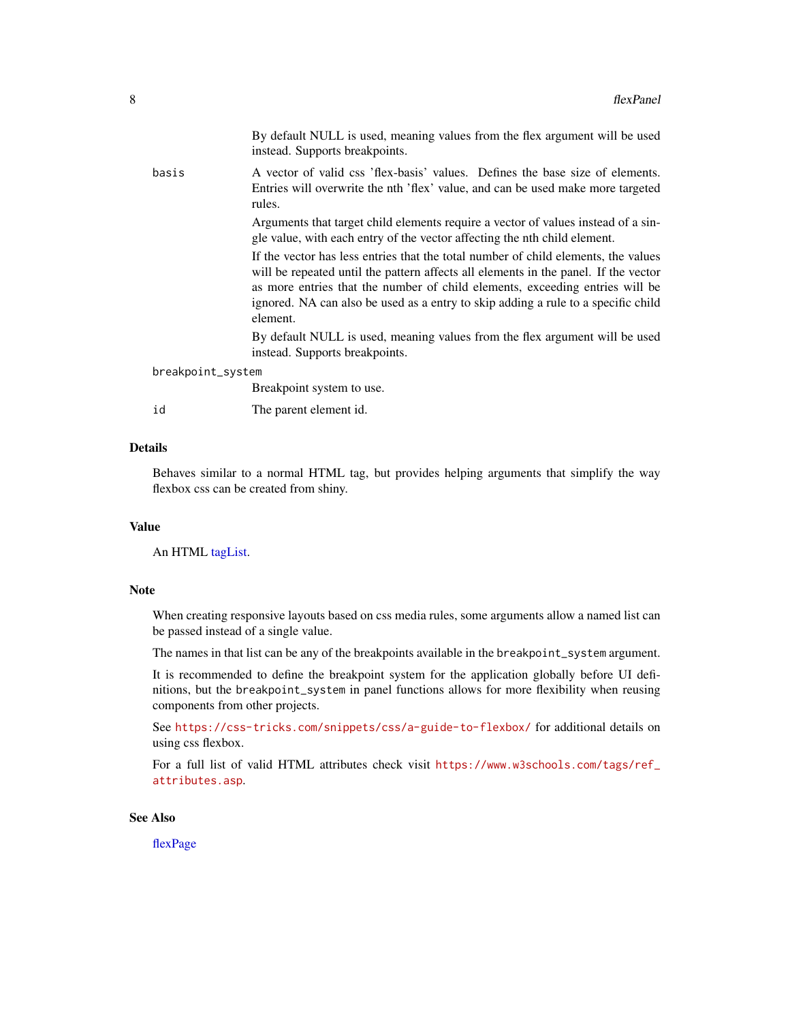<span id="page-7-0"></span>

|                   | By default NULL is used, meaning values from the flex argument will be used<br>instead. Supports breakpoints.                                                                                                                                                                                                                                              |
|-------------------|------------------------------------------------------------------------------------------------------------------------------------------------------------------------------------------------------------------------------------------------------------------------------------------------------------------------------------------------------------|
| basis             | A vector of valid css 'flex-basis' values. Defines the base size of elements.<br>Entries will overwrite the nth 'flex' value, and can be used make more targeted<br>rules.                                                                                                                                                                                 |
|                   | Arguments that target child elements require a vector of values instead of a sin-<br>gle value, with each entry of the vector affecting the nth child element.                                                                                                                                                                                             |
|                   | If the vector has less entries that the total number of child elements, the values<br>will be repeated until the pattern affects all elements in the panel. If the vector<br>as more entries that the number of child elements, exceeding entries will be<br>ignored. NA can also be used as a entry to skip adding a rule to a specific child<br>element. |
|                   | By default NULL is used, meaning values from the flex argument will be used<br>instead. Supports breakpoints.                                                                                                                                                                                                                                              |
| breakpoint_system |                                                                                                                                                                                                                                                                                                                                                            |
|                   | Breakpoint system to use.                                                                                                                                                                                                                                                                                                                                  |
| id                | The parent element id.                                                                                                                                                                                                                                                                                                                                     |

# Details

Behaves similar to a normal HTML tag, but provides helping arguments that simplify the way flexbox css can be created from shiny.

#### Value

An HTML [tagList.](#page-0-0)

#### Note

When creating responsive layouts based on css media rules, some arguments allow a named list can be passed instead of a single value.

The names in that list can be any of the breakpoints available in the breakpoint\_system argument.

It is recommended to define the breakpoint system for the application globally before UI definitions, but the breakpoint\_system in panel functions allows for more flexibility when reusing components from other projects.

See <https://css-tricks.com/snippets/css/a-guide-to-flexbox/> for additional details on using css flexbox.

For a full list of valid HTML attributes check visit [https://www.w3schools.com/tags/ref\\_](https://www.w3schools.com/tags/ref_attributes.asp) [attributes.asp](https://www.w3schools.com/tags/ref_attributes.asp).

#### See Also

[flexPage](#page-4-2)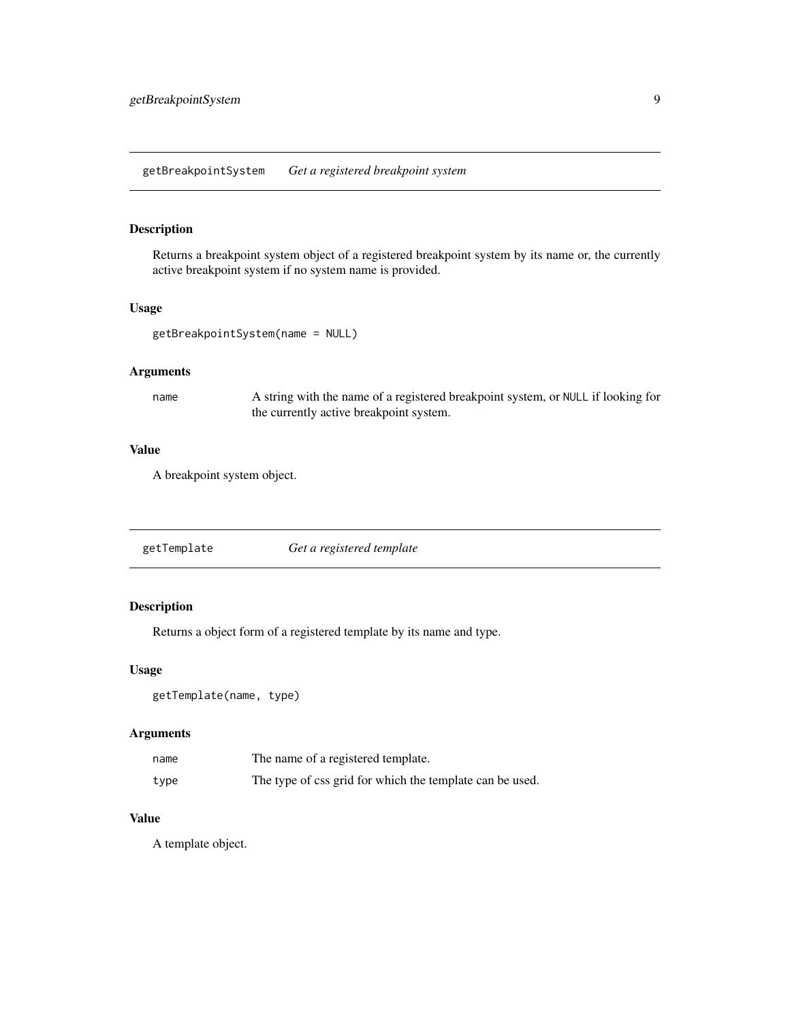<span id="page-8-1"></span><span id="page-8-0"></span>getBreakpointSystem *Get a registered breakpoint system*

#### Description

Returns a breakpoint system object of a registered breakpoint system by its name or, the currently active breakpoint system if no system name is provided.

#### Usage

```
getBreakpointSystem(name = NULL)
```
#### Arguments

name A string with the name of a registered breakpoint system, or NULL if looking for the currently active breakpoint system.

#### Value

A breakpoint system object.

<span id="page-8-2"></span>

| getTemplate | Get a registered template |
|-------------|---------------------------|
|             |                           |

# Description

Returns a object form of a registered template by its name and type.

#### Usage

getTemplate(name, type)

#### Arguments

| name | The name of a registered template.                       |
|------|----------------------------------------------------------|
| type | The type of css grid for which the template can be used. |

#### Value

A template object.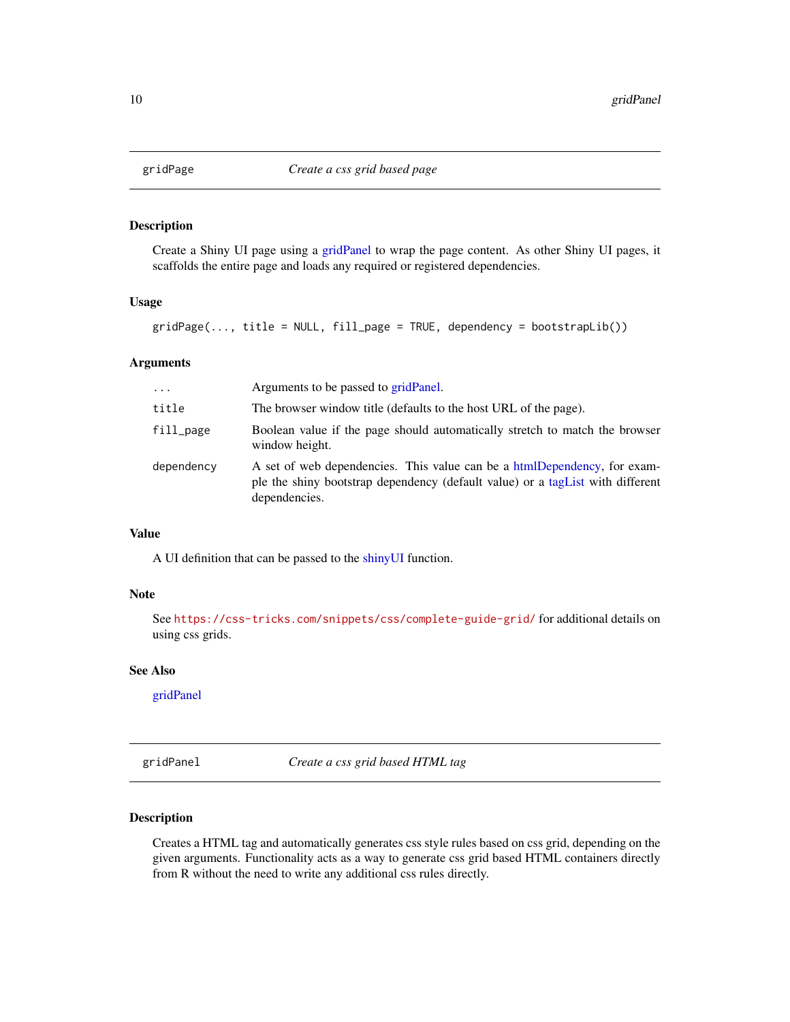<span id="page-9-2"></span><span id="page-9-0"></span>

#### Description

Create a Shiny UI page using a [gridPanel](#page-9-1) to wrap the page content. As other Shiny UI pages, it scaffolds the entire page and loads any required or registered dependencies.

#### Usage

 $gridPage(..., title = NULL, fill-page = TRUE, dependency = bootstrapLib())$ 

#### Arguments

| $\cdot$    | Arguments to be passed to gridPanel.                                                                                                                                         |
|------------|------------------------------------------------------------------------------------------------------------------------------------------------------------------------------|
| title      | The browser window title (defaults to the host URL of the page).                                                                                                             |
| fill_page  | Boolean value if the page should automatically stretch to match the browser<br>window height.                                                                                |
| dependency | A set of web dependencies. This value can be a htmlDependency, for exam-<br>ple the shiny bootstrap dependency (default value) or a tag List with different<br>dependencies. |

#### Value

A UI definition that can be passed to the [shinyUI](#page-0-0) function.

#### Note

See <https://css-tricks.com/snippets/css/complete-guide-grid/> for additional details on using css grids.

#### See Also

[gridPanel](#page-9-1)

<span id="page-9-1"></span>gridPanel *Create a css grid based HTML tag*

#### Description

Creates a HTML tag and automatically generates css style rules based on css grid, depending on the given arguments. Functionality acts as a way to generate css grid based HTML containers directly from R without the need to write any additional css rules directly.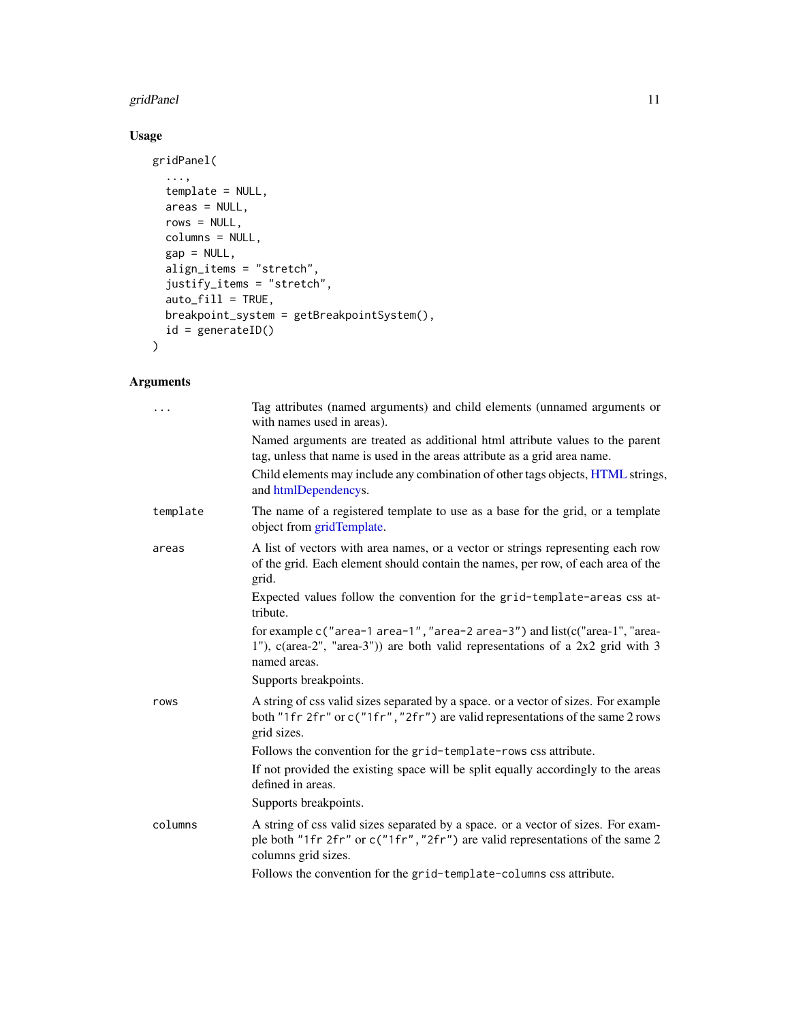#### <span id="page-10-0"></span>gridPanel 11

# Usage

```
gridPanel(
  ...,
  template = NULL,
  areas = NULL,
  rows = NULL,columns = NULL,
  gap = NULL,align_items = "stretch",
  justify_items = "stretch",
  auto_fill = TRUE,
  breakpoint_system = getBreakpointSystem(),
  id = generateID()
\mathcal{L}
```
# Arguments

| $\cdots$ | Tag attributes (named arguments) and child elements (unnamed arguments or<br>with names used in areas).                                                                                   |
|----------|-------------------------------------------------------------------------------------------------------------------------------------------------------------------------------------------|
|          | Named arguments are treated as additional html attribute values to the parent<br>tag, unless that name is used in the areas attribute as a grid area name.                                |
|          | Child elements may include any combination of other tags objects, HTML strings,<br>and htmlDependencys.                                                                                   |
| template | The name of a registered template to use as a base for the grid, or a template<br>object from gridTemplate.                                                                               |
| areas    | A list of vectors with area names, or a vector or strings representing each row<br>of the grid. Each element should contain the names, per row, of each area of the<br>grid.              |
|          | Expected values follow the convention for the grid-template-areas css at-<br>tribute.                                                                                                     |
|          | 1"), $c(\text{area-2}$ ", "area-3")) are both valid representations of a 2x2 grid with 3<br>named areas.                                                                                  |
|          | Supports breakpoints.                                                                                                                                                                     |
| rows     | A string of css valid sizes separated by a space. or a vector of sizes. For example<br>both "1fr 2fr" or c("1fr", "2fr") are valid representations of the same 2 rows<br>grid sizes.      |
|          | Follows the convention for the grid-template-rows css attribute.                                                                                                                          |
|          | If not provided the existing space will be split equally accordingly to the areas<br>defined in areas.                                                                                    |
|          | Supports breakpoints.                                                                                                                                                                     |
| columns  | A string of css valid sizes separated by a space. or a vector of sizes. For exam-<br>ple both "1fr 2fr" or c("1fr", "2fr") are valid representations of the same 2<br>columns grid sizes. |
|          | Follows the convention for the grid-template-columns css attribute.                                                                                                                       |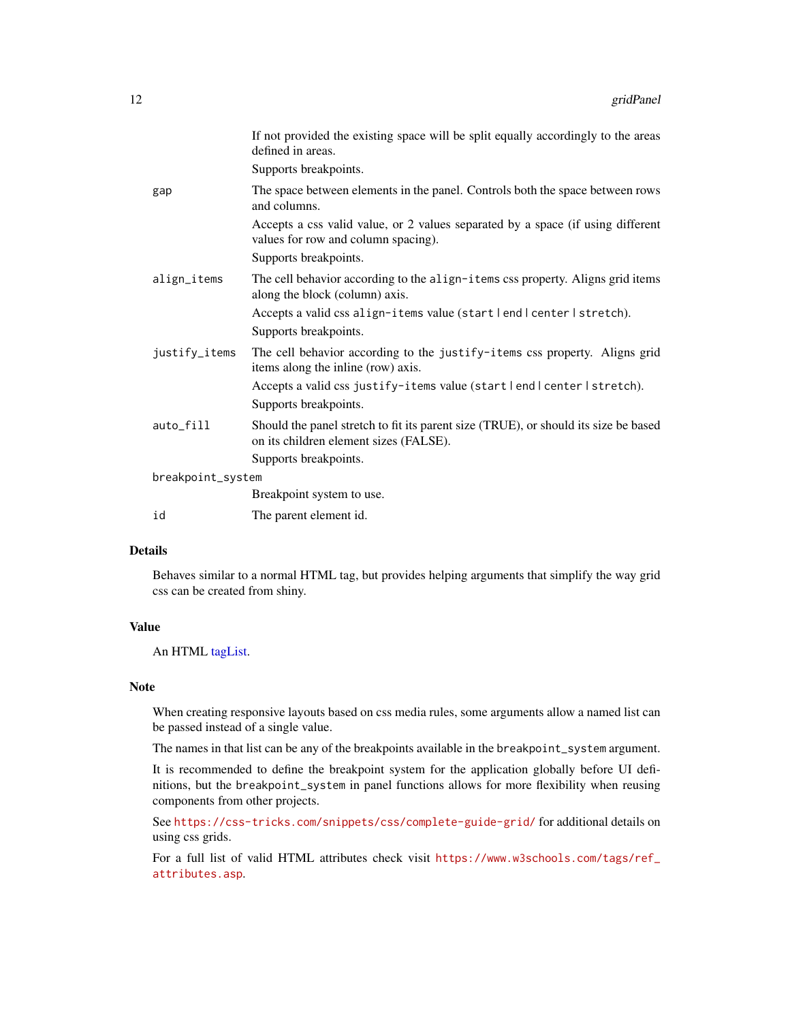<span id="page-11-0"></span>

|                   | If not provided the existing space will be split equally accordingly to the areas<br>defined in areas.                        |
|-------------------|-------------------------------------------------------------------------------------------------------------------------------|
|                   | Supports breakpoints.                                                                                                         |
| gap               | The space between elements in the panel. Controls both the space between rows<br>and columns.                                 |
|                   | Accepts a css valid value, or 2 values separated by a space (if using different<br>values for row and column spacing).        |
|                   | Supports breakpoints.                                                                                                         |
| align_items       | The cell behavior according to the align-items css property. Aligns grid items<br>along the block (column) axis.              |
|                   | Accepts a valid css align-items value (start lend l center l stretch).                                                        |
|                   | Supports breakpoints.                                                                                                         |
| justify_items     | The cell behavior according to the justify-items css property. Aligns grid<br>items along the inline (row) axis.              |
|                   | Accepts a valid css justify-items value (start lend l center l stretch).                                                      |
|                   | Supports breakpoints.                                                                                                         |
| auto_fill         | Should the panel stretch to fit its parent size (TRUE), or should its size be based<br>on its children element sizes (FALSE). |
|                   | Supports breakpoints.                                                                                                         |
| breakpoint_system |                                                                                                                               |
|                   | Breakpoint system to use.                                                                                                     |
| id                | The parent element id.                                                                                                        |

#### Details

Behaves similar to a normal HTML tag, but provides helping arguments that simplify the way grid css can be created from shiny.

#### Value

An HTML [tagList.](#page-0-0)

#### Note

When creating responsive layouts based on css media rules, some arguments allow a named list can be passed instead of a single value.

The names in that list can be any of the breakpoints available in the breakpoint\_system argument.

It is recommended to define the breakpoint system for the application globally before UI definitions, but the breakpoint\_system in panel functions allows for more flexibility when reusing components from other projects.

See <https://css-tricks.com/snippets/css/complete-guide-grid/> for additional details on using css grids.

For a full list of valid HTML attributes check visit [https://www.w3schools.com/tags/ref\\_](https://www.w3schools.com/tags/ref_attributes.asp) [attributes.asp](https://www.w3schools.com/tags/ref_attributes.asp).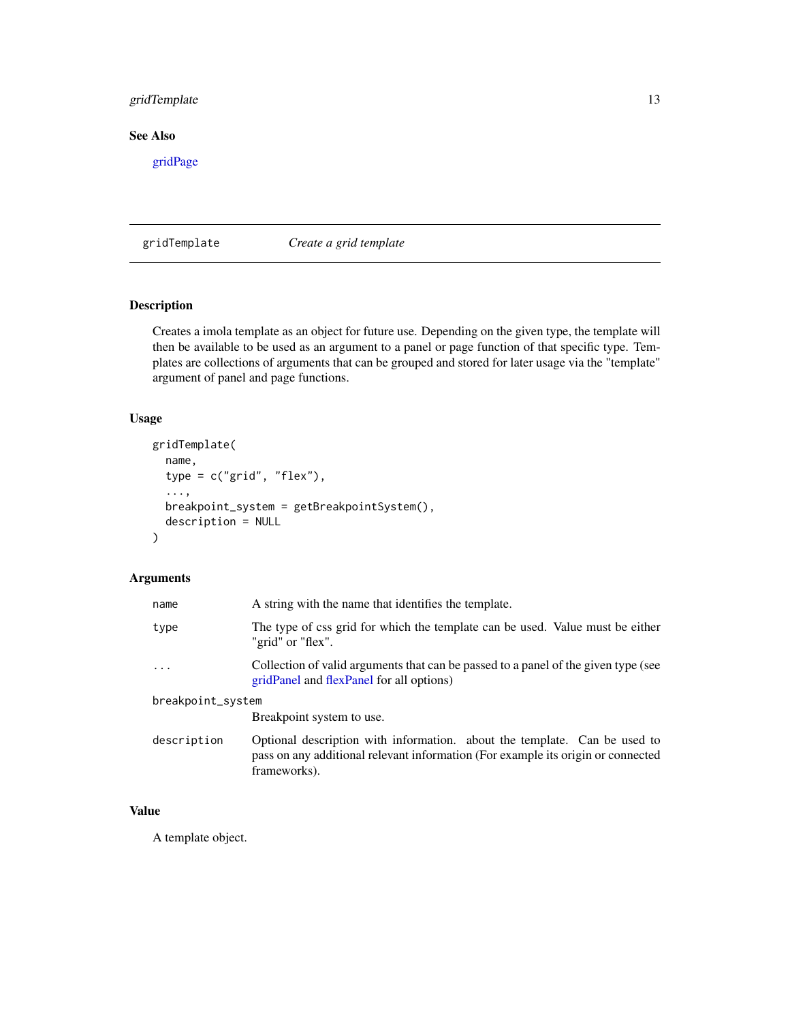#### <span id="page-12-0"></span>gridTemplate 13

# See Also

[gridPage](#page-9-2)

<span id="page-12-1"></span>gridTemplate *Create a grid template*

# Description

Creates a imola template as an object for future use. Depending on the given type, the template will then be available to be used as an argument to a panel or page function of that specific type. Templates are collections of arguments that can be grouped and stored for later usage via the "template" argument of panel and page functions.

#### Usage

```
gridTemplate(
  name,
  type = c("grid", "flex"),
  ...,
 breakpoint_system = getBreakpointSystem(),
  description = NULL
)
```
# Arguments

| name              | A string with the name that identifies the template.                                                                                                                          |  |
|-------------------|-------------------------------------------------------------------------------------------------------------------------------------------------------------------------------|--|
| type              | The type of css grid for which the template can be used. Value must be either<br>"grid" or "flex".                                                                            |  |
| $\cdots$          | Collection of valid arguments that can be passed to a panel of the given type (see<br>gridPanel and flexPanel for all options)                                                |  |
| breakpoint_system |                                                                                                                                                                               |  |
|                   | Breakpoint system to use.                                                                                                                                                     |  |
| description       | Optional description with information. about the template. Can be used to<br>pass on any additional relevant information (For example its origin or connected<br>frameworks). |  |

# Value

A template object.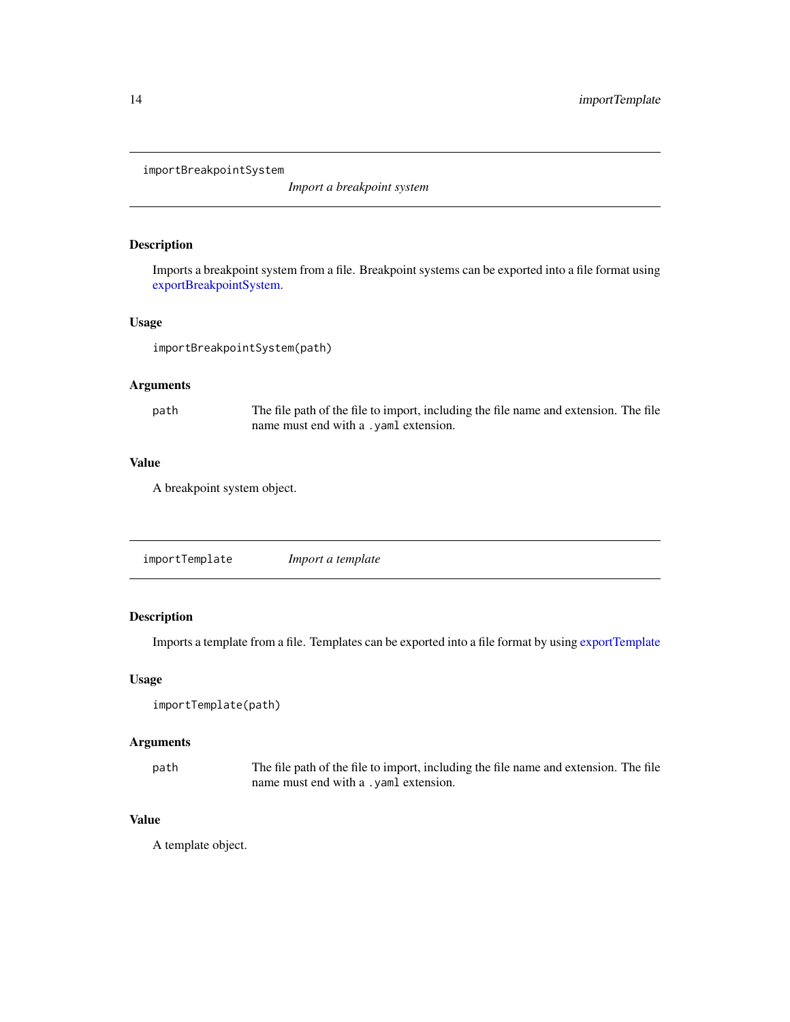<span id="page-13-1"></span><span id="page-13-0"></span>importBreakpointSystem

*Import a breakpoint system*

#### Description

Imports a breakpoint system from a file. Breakpoint systems can be exported into a file format using [exportBreakpointSystem.](#page-3-1)

#### Usage

importBreakpointSystem(path)

#### Arguments

path The file path of the file to import, including the file name and extension. The file name must end with a .yaml extension.

#### Value

A breakpoint system object.

<span id="page-13-2"></span>

|--|

### Description

Imports a template from a file. Templates can be exported into a file format by using [exportTemplate](#page-3-2)

#### Usage

```
importTemplate(path)
```
#### Arguments

path The file path of the file to import, including the file name and extension. The file name must end with a .yaml extension.

# Value

A template object.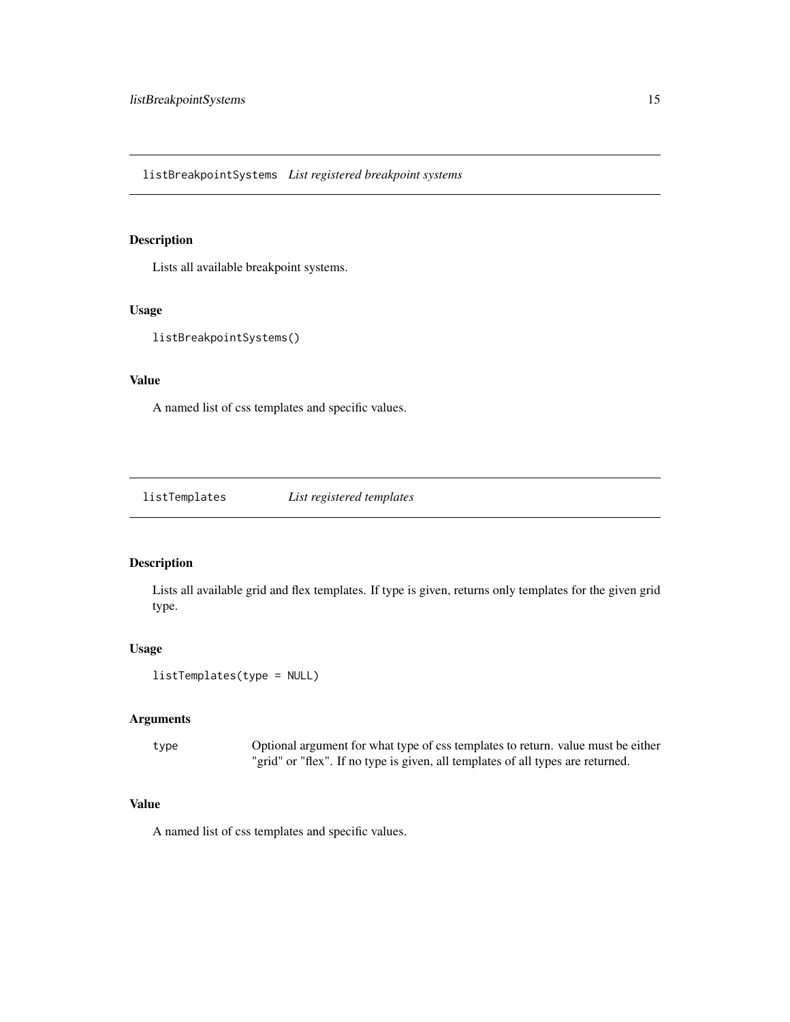<span id="page-14-0"></span>listBreakpointSystems *List registered breakpoint systems*

#### Description

Lists all available breakpoint systems.

#### Usage

listBreakpointSystems()

#### Value

A named list of css templates and specific values.

listTemplates *List registered templates*

#### Description

Lists all available grid and flex templates. If type is given, returns only templates for the given grid type.

#### Usage

```
listTemplates(type = NULL)
```
#### Arguments

type Optional argument for what type of css templates to return. value must be either "grid" or "flex". If no type is given, all templates of all types are returned.

#### Value

A named list of css templates and specific values.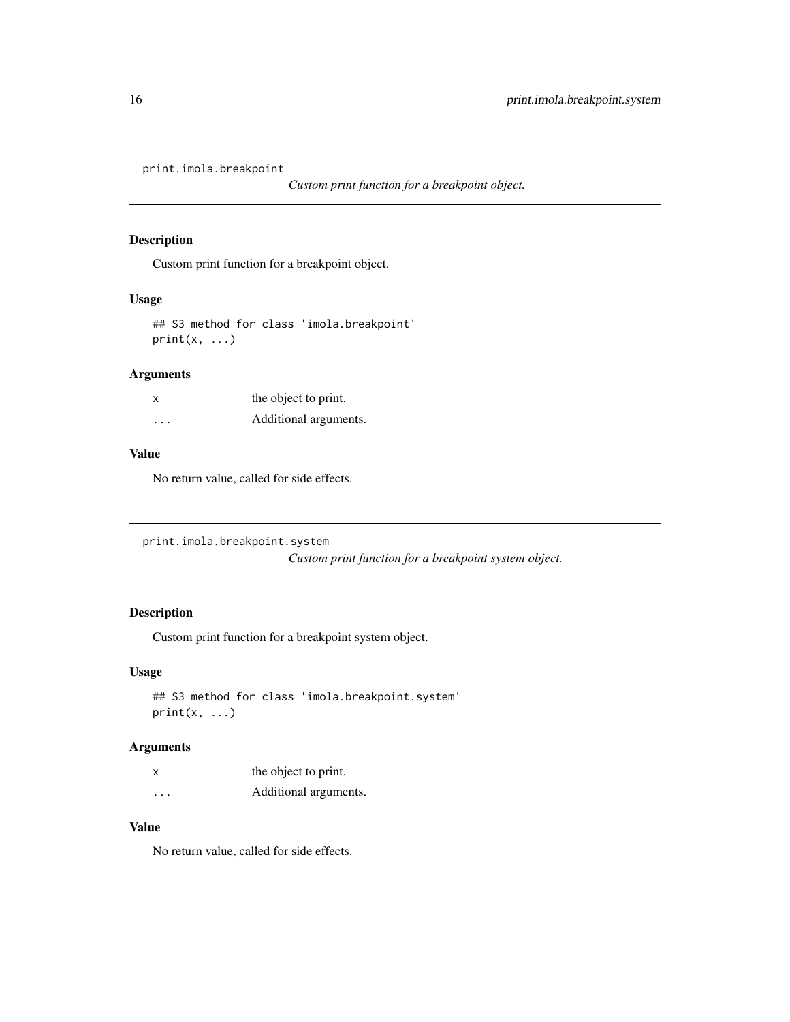<span id="page-15-0"></span>print.imola.breakpoint

*Custom print function for a breakpoint object.*

#### Description

Custom print function for a breakpoint object.

#### Usage

```
## S3 method for class 'imola.breakpoint'
print(x, ...)
```
#### Arguments

| x        | the object to print.  |
|----------|-----------------------|
| $\cdots$ | Additional arguments. |

# Value

No return value, called for side effects.

print.imola.breakpoint.system

*Custom print function for a breakpoint system object.*

#### Description

Custom print function for a breakpoint system object.

#### Usage

```
## S3 method for class 'imola.breakpoint.system'
print(x, \ldots)
```
# Arguments

| x                       | the object to print.  |
|-------------------------|-----------------------|
| $\cdot$ $\cdot$ $\cdot$ | Additional arguments. |

#### Value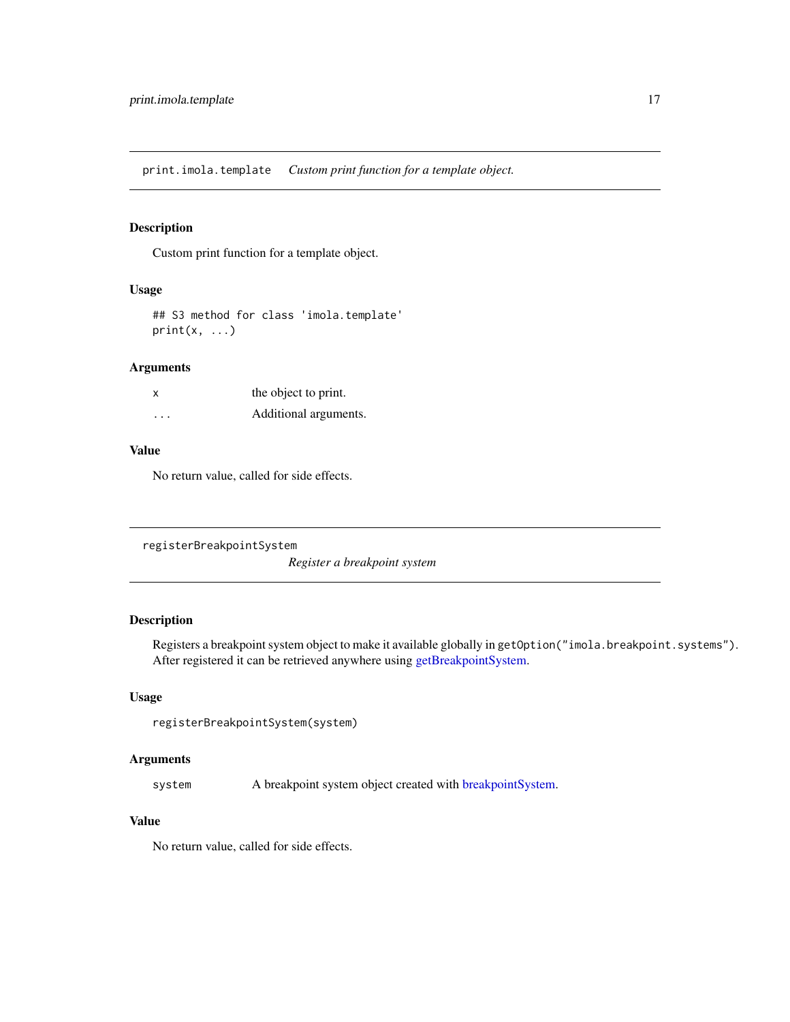<span id="page-16-0"></span>print.imola.template *Custom print function for a template object.*

#### Description

Custom print function for a template object.

#### Usage

```
## S3 method for class 'imola.template'
print(x, \ldots)
```
#### Arguments

| X                       | the object to print.  |
|-------------------------|-----------------------|
| $\cdot$ $\cdot$ $\cdot$ | Additional arguments. |

#### Value

No return value, called for side effects.

```
registerBreakpointSystem
```
*Register a breakpoint system*

#### Description

Registers a breakpoint system object to make it available globally in getOption("imola.breakpoint.systems"). After registered it can be retrieved anywhere using [getBreakpointSystem.](#page-8-1)

#### Usage

registerBreakpointSystem(system)

# Arguments

system A breakpoint system object created with [breakpointSystem.](#page-2-1)

#### Value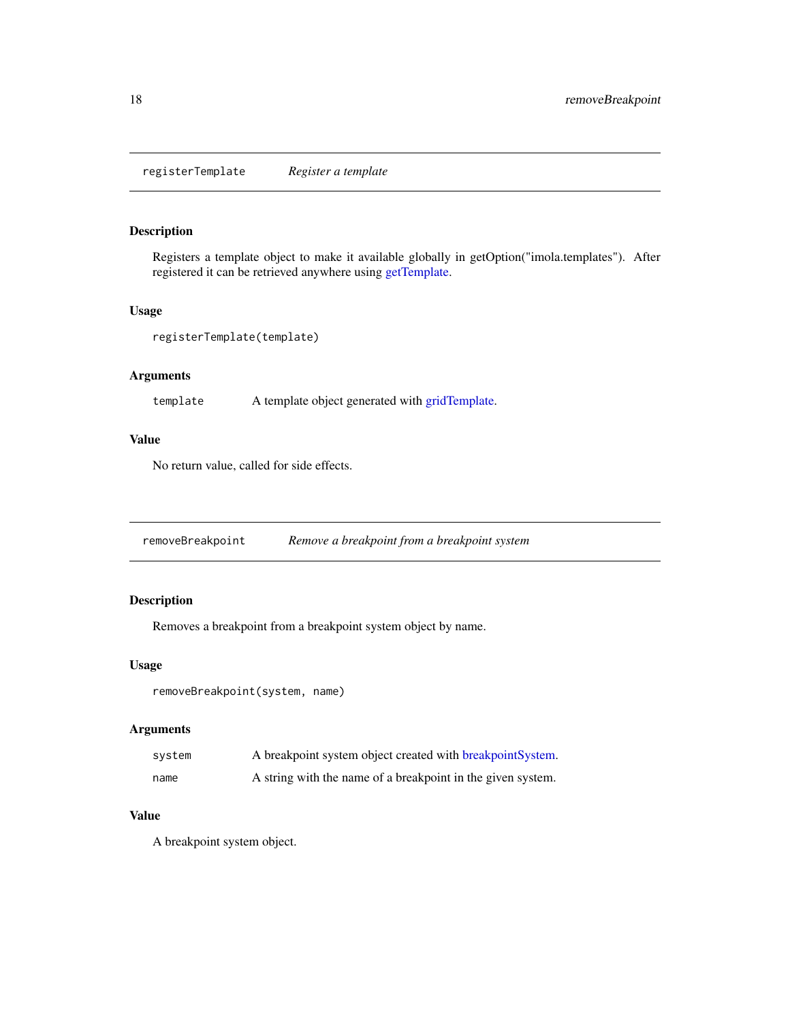<span id="page-17-0"></span>registerTemplate *Register a template*

#### Description

Registers a template object to make it available globally in getOption("imola.templates"). After registered it can be retrieved anywhere using [getTemplate.](#page-8-2)

#### Usage

```
registerTemplate(template)
```
# Arguments

template A template object generated with [gridTemplate.](#page-12-1)

#### Value

No return value, called for side effects.

removeBreakpoint *Remove a breakpoint from a breakpoint system*

#### Description

Removes a breakpoint from a breakpoint system object by name.

#### Usage

removeBreakpoint(system, name)

#### Arguments

| system | A breakpoint system object created with breakpoint System.  |
|--------|-------------------------------------------------------------|
| name   | A string with the name of a breakpoint in the given system. |

# Value

A breakpoint system object.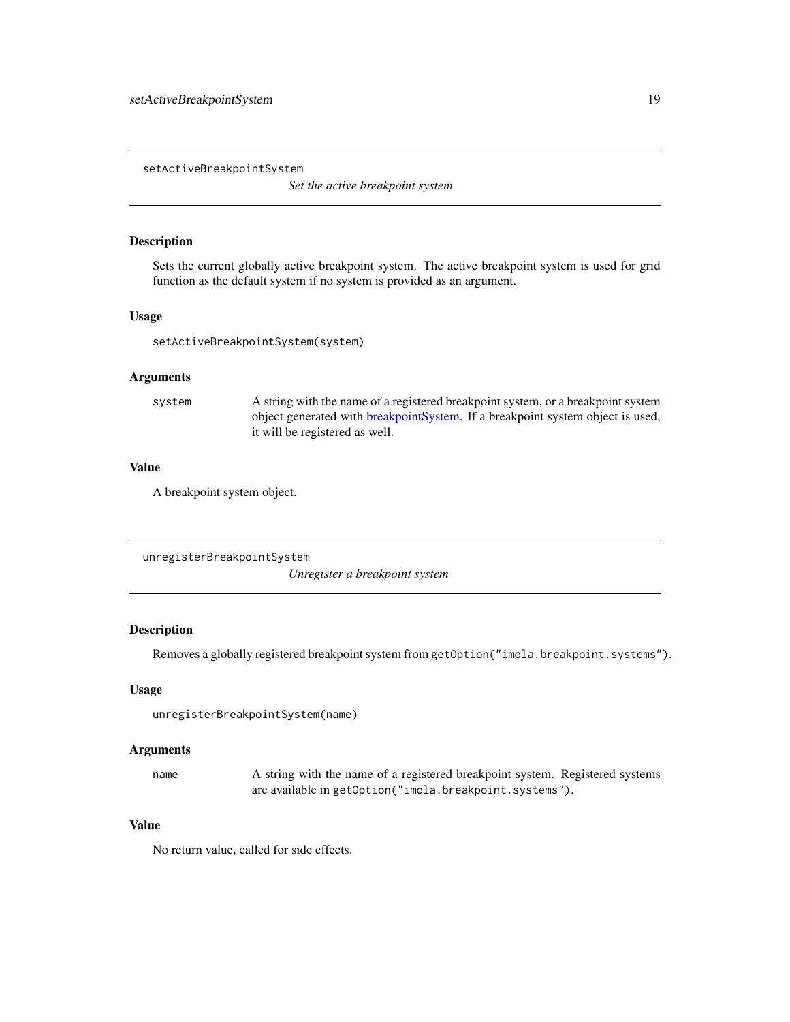<span id="page-18-0"></span>setActiveBreakpointSystem

*Set the active breakpoint system*

#### Description

Sets the current globally active breakpoint system. The active breakpoint system is used for grid function as the default system if no system is provided as an argument.

#### Usage

setActiveBreakpointSystem(system)

#### Arguments

system A string with the name of a registered breakpoint system, or a breakpoint system object generated with [breakpointSystem.](#page-2-1) If a breakpoint system object is used, it will be registered as well.

#### Value

A breakpoint system object.

unregisterBreakpointSystem *Unregister a breakpoint system*

#### Description

Removes a globally registered breakpoint system from getOption("imola.breakpoint.systems").

#### Usage

```
unregisterBreakpointSystem(name)
```
#### Arguments

name A string with the name of a registered breakpoint system. Registered systems are available in getOption("imola.breakpoint.systems").

#### Value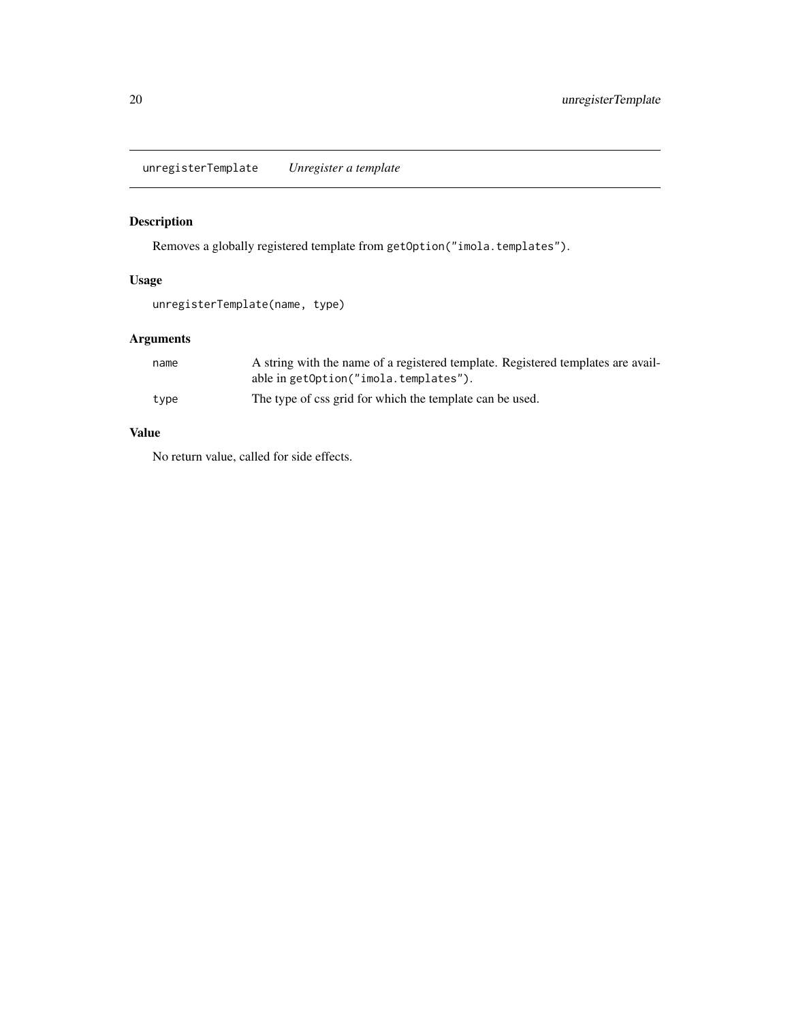<span id="page-19-0"></span>unregisterTemplate *Unregister a template*

# Description

Removes a globally registered template from getOption("imola.templates").

#### Usage

```
unregisterTemplate(name, type)
```
# Arguments

| name | A string with the name of a registered template. Registered templates are avail- |
|------|----------------------------------------------------------------------------------|
|      | able in getOption("imola.templates").                                            |
| type | The type of css grid for which the template can be used.                         |

# Value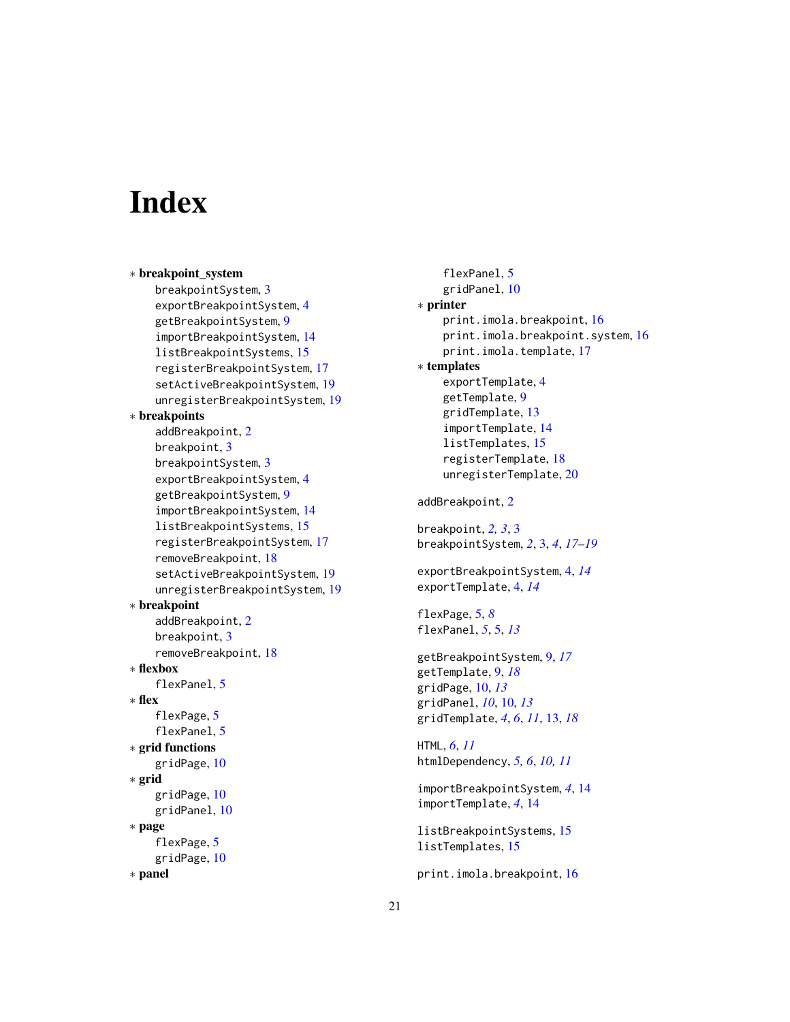# <span id="page-20-0"></span>**Index**

∗ breakpoint\_system breakpointSystem, [3](#page-2-0) exportBreakpointSystem, [4](#page-3-0) getBreakpointSystem, [9](#page-8-0) importBreakpointSystem, [14](#page-13-0) listBreakpointSystems, [15](#page-14-0) registerBreakpointSystem, [17](#page-16-0) setActiveBreakpointSystem, [19](#page-18-0) unregisterBreakpointSystem, [19](#page-18-0) ∗ breakpoints addBreakpoint, [2](#page-1-0) breakpoint, [3](#page-2-0) breakpointSystem, [3](#page-2-0) exportBreakpointSystem, [4](#page-3-0) getBreakpointSystem, [9](#page-8-0) importBreakpointSystem, [14](#page-13-0) listBreakpointSystems, [15](#page-14-0) registerBreakpointSystem, [17](#page-16-0) removeBreakpoint, [18](#page-17-0) setActiveBreakpointSystem, [19](#page-18-0) unregisterBreakpointSystem, [19](#page-18-0) ∗ breakpoint addBreakpoint, [2](#page-1-0) breakpoint, [3](#page-2-0) removeBreakpoint, [18](#page-17-0) ∗ flexbox flexPanel, [5](#page-4-0) ∗ flex flexPage, [5](#page-4-0) flexPanel, [5](#page-4-0) ∗ grid functions gridPage, [10](#page-9-0) ∗ grid gridPage, [10](#page-9-0) gridPanel, [10](#page-9-0) ∗ page flexPage, [5](#page-4-0) gridPage, [10](#page-9-0) ∗ panel

flexPanel, [5](#page-4-0) gridPanel, [10](#page-9-0) ∗ printer print.imola.breakpoint, [16](#page-15-0) print.imola.breakpoint.system, [16](#page-15-0) print.imola.template, [17](#page-16-0) ∗ templates exportTemplate, [4](#page-3-0) getTemplate, [9](#page-8-0) gridTemplate, [13](#page-12-0) importTemplate, [14](#page-13-0) listTemplates, [15](#page-14-0) registerTemplate, [18](#page-17-0) unregisterTemplate, [20](#page-19-0) addBreakpoint, [2](#page-1-0) breakpoint, *[2,](#page-1-0) [3](#page-2-0)*, [3](#page-2-0) breakpointSystem, *[2](#page-1-0)*, [3,](#page-2-0) *[4](#page-3-0)*, *[17](#page-16-0)[–19](#page-18-0)* exportBreakpointSystem, [4,](#page-3-0) *[14](#page-13-0)* exportTemplate, [4,](#page-3-0) *[14](#page-13-0)* flexPage, [5,](#page-4-0) *[8](#page-7-0)* flexPanel, *[5](#page-4-0)*, [5,](#page-4-0) *[13](#page-12-0)* getBreakpointSystem, [9,](#page-8-0) *[17](#page-16-0)* getTemplate, [9,](#page-8-0) *[18](#page-17-0)* gridPage, [10,](#page-9-0) *[13](#page-12-0)* gridPanel, *[10](#page-9-0)*, [10,](#page-9-0) *[13](#page-12-0)* gridTemplate, *[4](#page-3-0)*, *[6](#page-5-0)*, *[11](#page-10-0)*, [13,](#page-12-0) *[18](#page-17-0)* HTML, *[6](#page-5-0)*, *[11](#page-10-0)* htmlDependency, *[5,](#page-4-0) [6](#page-5-0)*, *[10,](#page-9-0) [11](#page-10-0)* importBreakpointSystem, *[4](#page-3-0)*, [14](#page-13-0) importTemplate, *[4](#page-3-0)*, [14](#page-13-0) listBreakpointSystems, [15](#page-14-0) listTemplates, [15](#page-14-0) print.imola.breakpoint, [16](#page-15-0)